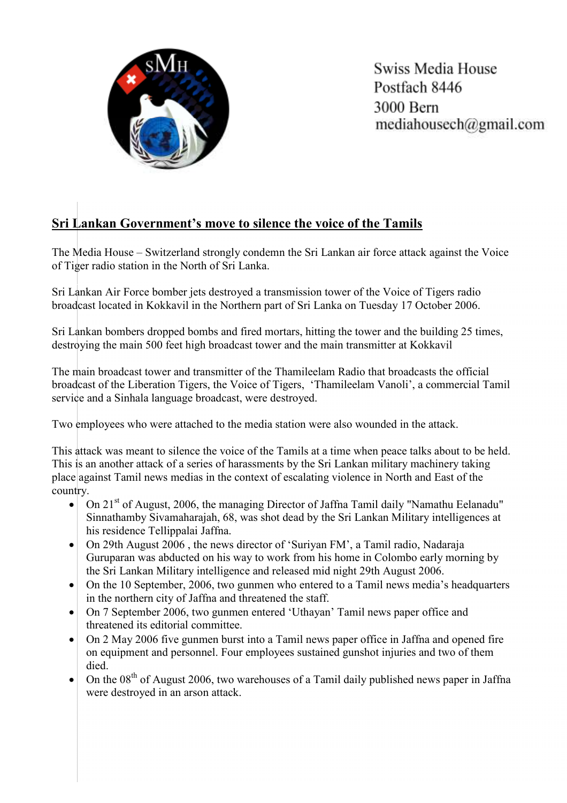

Swiss Media House Postfach 8446 3000 Bern mediahousech@gmail.com

## Sri Lankan Government's move to silence the voice of the Tamils

The Media House – Switzerland strongly condemn the Sri Lankan air force attack against the Voice of Tiger radio station in the North of Sri Lanka.

Sri Lankan Air Force bomber jets destroyed a transmission tower of the Voice of Tigers radio broadcast located in Kokkavil in the Northern part of Sri Lanka on Tuesday 17 October 2006.

Sri Lankan bombers dropped bombs and fired mortars, hitting the tower and the building 25 times, destroying the main 500 feet high broadcast tower and the main transmitter at Kokkavil

The main broadcast tower and transmitter of the Thamileelam Radio that broadcasts the official broadcast of the Liberation Tigers, the Voice of Tigers, 'Thamileelam Vanoli', a commercial Tamil service and a Sinhala language broadcast, were destroyed.

Two employees who were attached to the media station were also wounded in the attack.

This attack was meant to silence the voice of the Tamils at a time when peace talks about to be held. This is an another attack of a series of harassments by the Sri Lankan military machinery taking place against Tamil news medias in the context of escalating violence in North and East of the country.

- On 21<sup>st</sup> of August, 2006, the managing Director of Jaffna Tamil daily "Namathu Eelanadu" Sinnathamby Sivamaharajah, 68, was shot dead by the Sri Lankan Military intelligences at his residence Tellippalai Jaffna.
- On 29th August 2006, the news director of 'Suriyan FM', a Tamil radio, Nadaraja Guruparan was abducted on his way to work from his home in Colombo early morning by the Sri Lankan Military intelligence and released mid night 29th August 2006.
- On the 10 September, 2006, two gunmen who entered to a Tamil news media's headquarters in the northern city of Jaffna and threatened the staff.
- On 7 September 2006, two gunmen entered 'Uthayan' Tamil news paper office and threatened its editorial committee.
- On 2 May 2006 five gunmen burst into a Tamil news paper office in Jaffna and opened fire on equipment and personnel. Four employees sustained gunshot injuries and two of them died.
- On the  $08<sup>th</sup>$  of August 2006, two warehouses of a Tamil daily published news paper in Jaffna were destroyed in an arson attack.